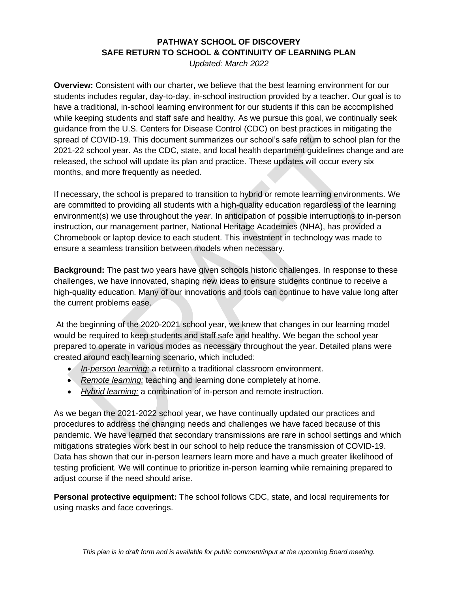## **PATHWAY SCHOOL OF DISCOVERY SAFE RETURN TO SCHOOL & CONTINUITY OF LEARNING PLAN**

*Updated: March 2022*

**Overview:** Consistent with our charter, we believe that the best learning environment for our students includes regular, day-to-day, in-school instruction provided by a teacher. Our goal is to have a traditional, in-school learning environment for our students if this can be accomplished while keeping students and staff safe and healthy. As we pursue this goal, we continually seek guidance from the U.S. Centers for Disease Control (CDC) on best practices in mitigating the spread of COVID-19. This document summarizes our school's safe return to school plan for the 2021-22 school year. As the CDC, state, and local health department guidelines change and are released, the school will update its plan and practice. These updates will occur every six months, and more frequently as needed.

If necessary, the school is prepared to transition to hybrid or remote learning environments. We are committed to providing all students with a high-quality education regardless of the learning environment(s) we use throughout the year. In anticipation of possible interruptions to in-person instruction, our management partner, National Heritage Academies (NHA), has provided a Chromebook or laptop device to each student. This investment in technology was made to ensure a seamless transition between models when necessary.

**Background:** The past two years have given schools historic challenges. In response to these challenges, we have innovated, shaping new ideas to ensure students continue to receive a high-quality education. Many of our innovations and tools can continue to have value long after the current problems ease.

At the beginning of the 2020-2021 school year, we knew that changes in our learning model would be required to keep students and staff safe and healthy. We began the school year prepared to operate in various modes as necessary throughout the year. Detailed plans were created around each learning scenario, which included:

- *In-person learning:* a return to a traditional classroom environment.
- *Remote learning:* teaching and learning done completely at home.
- *Hybrid learning:* a combination of in-person and remote instruction.

As we began the 2021-2022 school year, we have continually updated our practices and procedures to address the changing needs and challenges we have faced because of this pandemic. We have learned that secondary transmissions are rare in school settings and which mitigations strategies work best in our school to help reduce the transmission of COVID-19. Data has shown that our in-person learners learn more and have a much greater likelihood of testing proficient. We will continue to prioritize in-person learning while remaining prepared to adjust course if the need should arise.

**Personal protective equipment:** The school follows CDC, state, and local requirements for using masks and face coverings.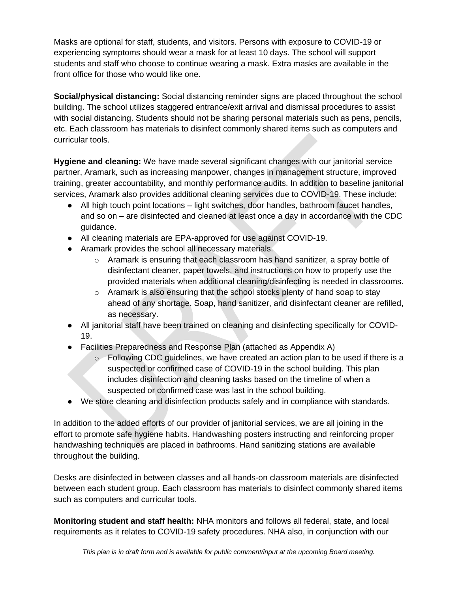Masks are optional for staff, students, and visitors. Persons with exposure to COVID-19 or experiencing symptoms should wear a mask for at least 10 days. The school will support students and staff who choose to continue wearing a mask. Extra masks are available in the front office for those who would like one.

**Social/physical distancing:** Social distancing reminder signs are placed throughout the school building. The school utilizes staggered entrance/exit arrival and dismissal procedures to assist with social distancing. Students should not be sharing personal materials such as pens, pencils, etc. Each classroom has materials to disinfect commonly shared items such as computers and curricular tools.

**Hygiene and cleaning:** We have made several significant changes with our janitorial service partner, Aramark, such as increasing manpower, changes in management structure, improved training, greater accountability, and monthly performance audits. In addition to baseline janitorial services, Aramark also provides additional cleaning services due to COVID-19. These include:

- All high touch point locations light switches, door handles, bathroom faucet handles, and so on – are disinfected and cleaned at least once a day in accordance with the CDC guidance.
- All cleaning materials are EPA-approved for use against COVID-19.
- Aramark provides the school all necessary materials.
	- $\circ$  Aramark is ensuring that each classroom has hand sanitizer, a spray bottle of disinfectant cleaner, paper towels, and instructions on how to properly use the provided materials when additional cleaning/disinfecting is needed in classrooms.
	- o Aramark is also ensuring that the school stocks plenty of hand soap to stay ahead of any shortage. Soap, hand sanitizer, and disinfectant cleaner are refilled, as necessary.
- All janitorial staff have been trained on cleaning and disinfecting specifically for COVID-19.
- Facilities Preparedness and Response Plan (attached as Appendix A)
	- o Following CDC guidelines, we have created an action plan to be used if there is a suspected or confirmed case of COVID-19 in the school building. This plan includes disinfection and cleaning tasks based on the timeline of when a suspected or confirmed case was last in the school building.
- We store cleaning and disinfection products safely and in compliance with standards.

In addition to the added efforts of our provider of janitorial services, we are all joining in the effort to promote safe hygiene habits. Handwashing posters instructing and reinforcing proper handwashing techniques are placed in bathrooms. Hand sanitizing stations are available throughout the building.

Desks are disinfected in between classes and all hands-on classroom materials are disinfected between each student group. Each classroom has materials to disinfect commonly shared items such as computers and curricular tools.

**Monitoring student and staff health:** NHA monitors and follows all federal, state, and local requirements as it relates to COVID-19 safety procedures. NHA also, in conjunction with our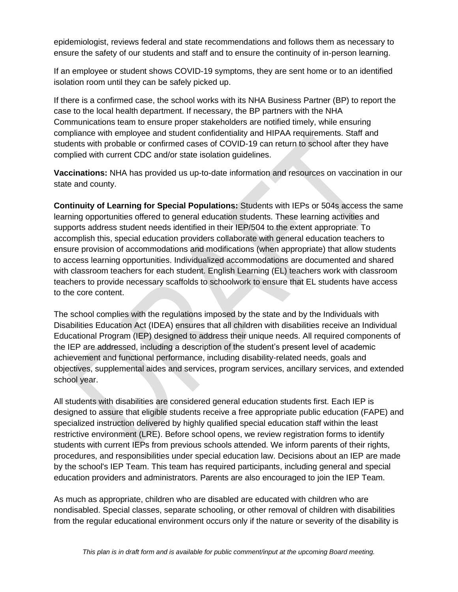epidemiologist, reviews federal and state recommendations and follows them as necessary to ensure the safety of our students and staff and to ensure the continuity of in-person learning.

If an employee or student shows COVID-19 symptoms, they are sent home or to an identified isolation room until they can be safely picked up.

If there is a confirmed case, the school works with its NHA Business Partner (BP) to report the case to the local health department. If necessary, the BP partners with the NHA Communications team to ensure proper stakeholders are notified timely, while ensuring compliance with employee and student confidentiality and HIPAA requirements. Staff and students with probable or confirmed cases of COVID-19 can return to school after they have complied with current CDC and/or state isolation guidelines.

**Vaccinations:** NHA has provided us up-to-date information and resources on vaccination in our state and county.

**Continuity of Learning for Special Populations:** Students with IEPs or 504s access the same learning opportunities offered to general education students. These learning activities and supports address student needs identified in their IEP/504 to the extent appropriate. To accomplish this, special education providers collaborate with general education teachers to ensure provision of accommodations and modifications (when appropriate) that allow students to access learning opportunities. Individualized accommodations are documented and shared with classroom teachers for each student. English Learning (EL) teachers work with classroom teachers to provide necessary scaffolds to schoolwork to ensure that EL students have access to the core content.

The school complies with the regulations imposed by the state and by the Individuals with Disabilities Education Act (IDEA) ensures that all children with disabilities receive an Individual Educational Program (IEP) designed to address their unique needs. All required components of the IEP are addressed, including a description of the student's present level of academic achievement and functional performance, including disability-related needs, goals and objectives, supplemental aides and services, program services, ancillary services, and extended school year.

All students with disabilities are considered general education students first. Each IEP is designed to assure that eligible students receive a free appropriate public education (FAPE) and specialized instruction delivered by highly qualified special education staff within the least restrictive environment (LRE). Before school opens, we review registration forms to identify students with current IEPs from previous schools attended. We inform parents of their rights, procedures, and responsibilities under special education law. Decisions about an IEP are made by the school's IEP Team. This team has required participants, including general and special education providers and administrators. Parents are also encouraged to join the IEP Team.

As much as appropriate, children who are disabled are educated with children who are nondisabled. Special classes, separate schooling, or other removal of children with disabilities from the regular educational environment occurs only if the nature or severity of the disability is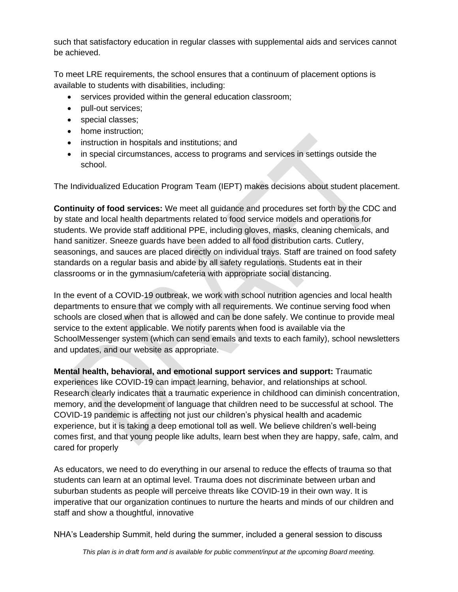such that satisfactory education in regular classes with supplemental aids and services cannot be achieved.

To meet LRE requirements, the school ensures that a continuum of placement options is available to students with disabilities, including:

- services provided within the general education classroom;
- pull-out services:
- special classes;
- home instruction;
- instruction in hospitals and institutions; and
- in special circumstances, access to programs and services in settings outside the school.

The Individualized Education Program Team (IEPT) makes decisions about student placement.

**Continuity of food services:** We meet all guidance and procedures set forth by the CDC and by state and local health departments related to food service models and operations for students. We provide staff additional PPE, including gloves, masks, cleaning chemicals, and hand sanitizer. Sneeze guards have been added to all food distribution carts. Cutlery, seasonings, and sauces are placed directly on individual trays. Staff are trained on food safety standards on a regular basis and abide by all safety regulations. Students eat in their classrooms or in the gymnasium/cafeteria with appropriate social distancing.

In the event of a COVID-19 outbreak, we work with school nutrition agencies and local health departments to ensure that we comply with all requirements. We continue serving food when schools are closed when that is allowed and can be done safely. We continue to provide meal service to the extent applicable. We notify parents when food is available via the SchoolMessenger system (which can send emails and texts to each family), school newsletters and updates, and our website as appropriate.

**Mental health, behavioral, and emotional support services and support:** Traumatic experiences like COVID-19 can impact learning, behavior, and relationships at school. Research clearly indicates that a traumatic experience in childhood can diminish concentration, memory, and the development of language that children need to be successful at school. The COVID-19 pandemic is affecting not just our children's physical health and academic experience, but it is taking a deep emotional toll as well. We believe children's well-being comes first, and that young people like adults, learn best when they are happy, safe, calm, and cared for properly

As educators, we need to do everything in our arsenal to reduce the effects of trauma so that students can learn at an optimal level. Trauma does not discriminate between urban and suburban students as people will perceive threats like COVID-19 in their own way. It is imperative that our organization continues to nurture the hearts and minds of our children and staff and show a thoughtful, innovative

NHA's Leadership Summit, held during the summer, included a general session to discuss